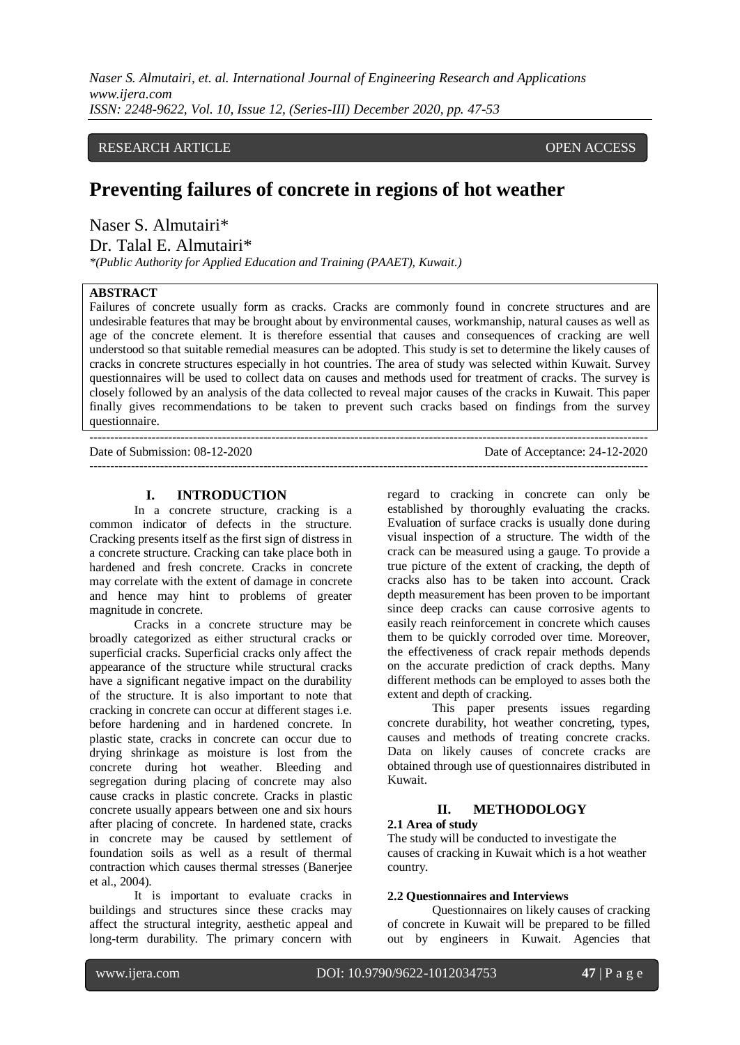*Naser S. Almutairi, et. al. International Journal of Engineering Research and Applications www.ijera.com ISSN: 2248-9622, Vol. 10, Issue 12, (Series-III) December 2020, pp. 47-53*

## RESEARCH ARTICLE **CONSERVERS** OPEN ACCESS

## **Preventing failures of concrete in regions of hot weather**

Naser S. Almutairi\*

Dr. Talal E. Almutairi\*

*\*(Public Authority for Applied Education and Training (PAAET), Kuwait.)*

## **ABSTRACT**

Failures of concrete usually form as cracks. Cracks are commonly found in concrete structures and are undesirable features that may be brought about by environmental causes, workmanship, natural causes as well as age of the concrete element. It is therefore essential that causes and consequences of cracking are well understood so that suitable remedial measures can be adopted. This study is set to determine the likely causes of cracks in concrete structures especially in hot countries. The area of study was selected within Kuwait. Survey questionnaires will be used to collect data on causes and methods used for treatment of cracks. The survey is closely followed by an analysis of the data collected to reveal major causes of the cracks in Kuwait. This paper finally gives recommendations to be taken to prevent such cracks based on findings from the survey questionnaire.

 $-1\leq i\leq n-1$ Date of Submission: 08-12-2020 Date of Acceptance: 24-12-2020 ---------------------------------------------------------------------------------------------------------------------------------------

#### **I. INTRODUCTION**

In a concrete structure, cracking is a common indicator of defects in the structure. Cracking presents itself as the first sign of distress in a concrete structure. Cracking can take place both in hardened and fresh concrete. Cracks in concrete may correlate with the extent of damage in concrete and hence may hint to problems of greater magnitude in concrete.

Cracks in a concrete structure may be broadly categorized as either structural cracks or superficial cracks. Superficial cracks only affect the appearance of the structure while structural cracks have a significant negative impact on the durability of the structure. It is also important to note that cracking in concrete can occur at different stages i.e. before hardening and in hardened concrete. In plastic state, cracks in concrete can occur due to drying shrinkage as moisture is lost from the concrete during hot weather. Bleeding and segregation during placing of concrete may also cause cracks in plastic concrete. Cracks in plastic concrete usually appears between one and six hours after placing of concrete. In hardened state, cracks in concrete may be caused by settlement of foundation soils as well as a result of thermal contraction which causes thermal stresses (Banerjee et al., 2004).

It is important to evaluate cracks in buildings and structures since these cracks may affect the structural integrity, aesthetic appeal and long-term durability. The primary concern with

regard to cracking in concrete can only be established by thoroughly evaluating the cracks. Evaluation of surface cracks is usually done during visual inspection of a structure. The width of the crack can be measured using a gauge. To provide a true picture of the extent of cracking, the depth of cracks also has to be taken into account. Crack depth measurement has been proven to be important since deep cracks can cause corrosive agents to easily reach reinforcement in concrete which causes them to be quickly corroded over time. Moreover, the effectiveness of crack repair methods depends on the accurate prediction of crack depths. Many different methods can be employed to asses both the extent and depth of cracking.

This paper presents issues regarding concrete durability, hot weather concreting, types, causes and methods of treating concrete cracks. Data on likely causes of concrete cracks are obtained through use of questionnaires distributed in Kuwait.

#### **II. METHODOLOGY**

#### **2.1 Area of study**

The study will be conducted to investigate the causes of cracking in Kuwait which is a hot weather country.

#### **2.2 Questionnaires and Interviews**

Questionnaires on likely causes of cracking of concrete in Kuwait will be prepared to be filled out by engineers in Kuwait. Agencies that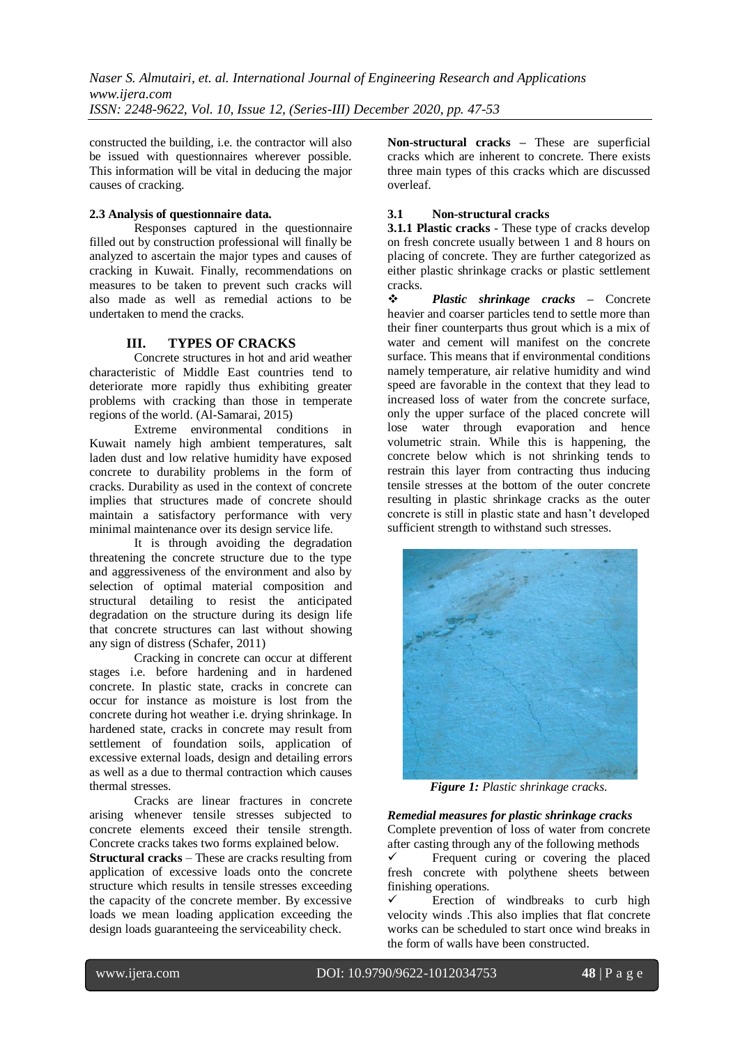constructed the building, i.e. the contractor will also be issued with questionnaires wherever possible. This information will be vital in deducing the major causes of cracking.

## **2.3 Analysis of questionnaire data.**

Responses captured in the questionnaire filled out by construction professional will finally be analyzed to ascertain the major types and causes of cracking in Kuwait. Finally, recommendations on measures to be taken to prevent such cracks will also made as well as remedial actions to be undertaken to mend the cracks.

## **III. TYPES OF CRACKS**

Concrete structures in hot and arid weather characteristic of Middle East countries tend to deteriorate more rapidly thus exhibiting greater problems with cracking than those in temperate regions of the world. (Al-Samarai, 2015)

Extreme environmental conditions in Kuwait namely high ambient temperatures, salt laden dust and low relative humidity have exposed concrete to durability problems in the form of cracks. Durability as used in the context of concrete implies that structures made of concrete should maintain a satisfactory performance with very minimal maintenance over its design service life.

It is through avoiding the degradation threatening the concrete structure due to the type and aggressiveness of the environment and also by selection of optimal material composition and structural detailing to resist the anticipated degradation on the structure during its design life that concrete structures can last without showing any sign of distress (Schafer, 2011)

Cracking in concrete can occur at different stages i.e. before hardening and in hardened concrete. In plastic state, cracks in concrete can occur for instance as moisture is lost from the concrete during hot weather i.e. drying shrinkage. In hardened state, cracks in concrete may result from settlement of foundation soils, application of excessive external loads, design and detailing errors as well as a due to thermal contraction which causes thermal stresses.

Cracks are linear fractures in concrete arising whenever tensile stresses subjected to concrete elements exceed their tensile strength. Concrete cracks takes two forms explained below.

**Structural cracks** – These are cracks resulting from application of excessive loads onto the concrete structure which results in tensile stresses exceeding the capacity of the concrete member. By excessive loads we mean loading application exceeding the design loads guaranteeing the serviceability check.

**Non-structural cracks** *–* These are superficial cracks which are inherent to concrete. There exists three main types of this cracks which are discussed overleaf.

## **3.1 Non-structural cracks**

**3.1.1 Plastic cracks** - These type of cracks develop on fresh concrete usually between 1 and 8 hours on placing of concrete. They are further categorized as either plastic shrinkage cracks or plastic settlement cracks.

 *Plastic shrinkage cracks* **–** Concrete heavier and coarser particles tend to settle more than their finer counterparts thus grout which is a mix of water and cement will manifest on the concrete surface. This means that if environmental conditions namely temperature, air relative humidity and wind speed are favorable in the context that they lead to increased loss of water from the concrete surface, only the upper surface of the placed concrete will lose water through evaporation and hence volumetric strain. While this is happening, the concrete below which is not shrinking tends to restrain this layer from contracting thus inducing tensile stresses at the bottom of the outer concrete resulting in plastic shrinkage cracks as the outer concrete is still in plastic state and hasn't developed sufficient strength to withstand such stresses.



*Figure 1: Plastic shrinkage cracks.*

*Remedial measures for plastic shrinkage cracks* Complete prevention of loss of water from concrete after casting through any of the following methods

 $\checkmark$  Frequent curing or covering the placed fresh concrete with polythene sheets between finishing operations.

 $\checkmark$  Erection of windbreaks to curb high velocity winds .This also implies that flat concrete works can be scheduled to start once wind breaks in the form of walls have been constructed.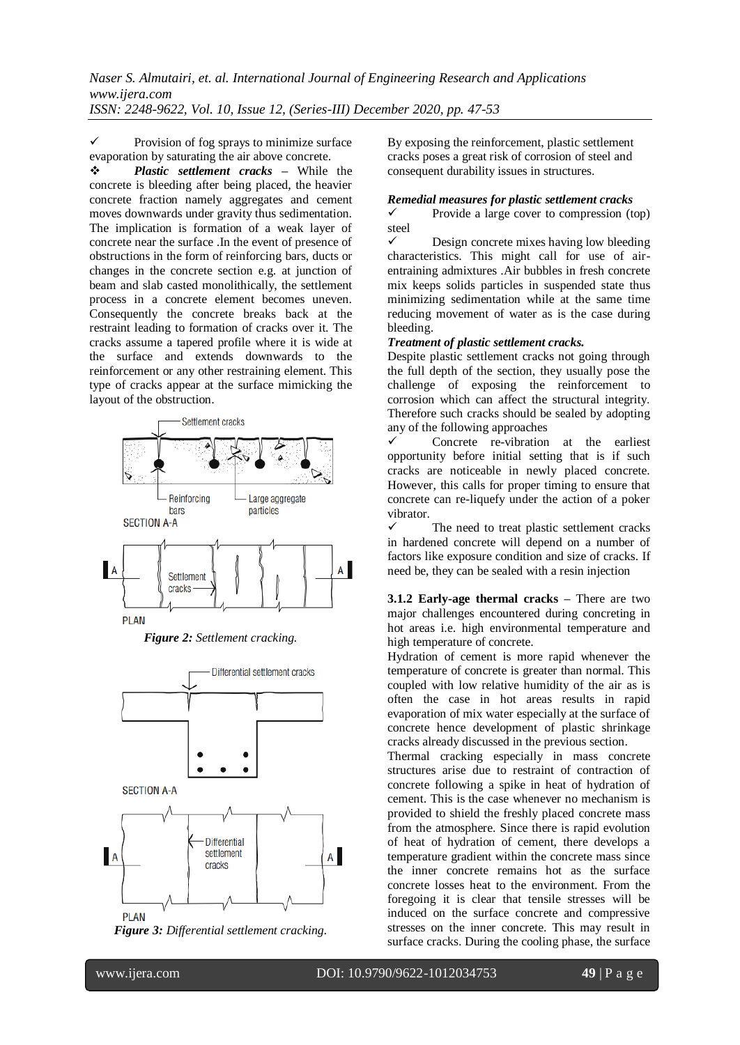$\checkmark$  Provision of fog sprays to minimize surface evaporation by saturating the air above concrete.

 *Plastic settlement cracks* **–** While the concrete is bleeding after being placed, the heavier concrete fraction namely aggregates and cement moves downwards under gravity thus sedimentation. The implication is formation of a weak layer of concrete near the surface .In the event of presence of obstructions in the form of reinforcing bars, ducts or changes in the concrete section e.g. at junction of beam and slab casted monolithically, the settlement process in a concrete element becomes uneven. Consequently the concrete breaks back at the restraint leading to formation of cracks over it. The cracks assume a tapered profile where it is wide at the surface and extends downwards to the reinforcement or any other restraining element. This type of cracks appear at the surface mimicking the layout of the obstruction.



*Figure 2: Settlement cracking.*





By exposing the reinforcement, plastic settlement cracks poses a great risk of corrosion of steel and consequent durability issues in structures.

# *Remedial measures for plastic settlement cracks*

 Provide a large cover to compression (top) steel

 $\checkmark$  Design concrete mixes having low bleeding characteristics. This might call for use of airentraining admixtures .Air bubbles in fresh concrete mix keeps solids particles in suspended state thus minimizing sedimentation while at the same time reducing movement of water as is the case during bleeding.

## *Treatment of plastic settlement cracks.*

Despite plastic settlement cracks not going through the full depth of the section, they usually pose the challenge of exposing the reinforcement to corrosion which can affect the structural integrity. Therefore such cracks should be sealed by adopting any of the following approaches

 Concrete re-vibration at the earliest opportunity before initial setting that is if such cracks are noticeable in newly placed concrete. However, this calls for proper timing to ensure that concrete can re-liquefy under the action of a poker vibrator.

 The need to treat plastic settlement cracks in hardened concrete will depend on a number of factors like exposure condition and size of cracks. If need be, they can be sealed with a resin injection

**3.1.2 Early-age thermal cracks –** There are two major challenges encountered during concreting in hot areas i.e. high environmental temperature and high temperature of concrete.

Hydration of cement is more rapid whenever the temperature of concrete is greater than normal. This coupled with low relative humidity of the air as is often the case in hot areas results in rapid evaporation of mix water especially at the surface of concrete hence development of plastic shrinkage cracks already discussed in the previous section.

Thermal cracking especially in mass concrete structures arise due to restraint of contraction of concrete following a spike in heat of hydration of cement. This is the case whenever no mechanism is provided to shield the freshly placed concrete mass from the atmosphere. Since there is rapid evolution of heat of hydration of cement, there develops a temperature gradient within the concrete mass since the inner concrete remains hot as the surface concrete losses heat to the environment. From the foregoing it is clear that tensile stresses will be induced on the surface concrete and compressive stresses on the inner concrete. This may result in surface cracks. During the cooling phase, the surface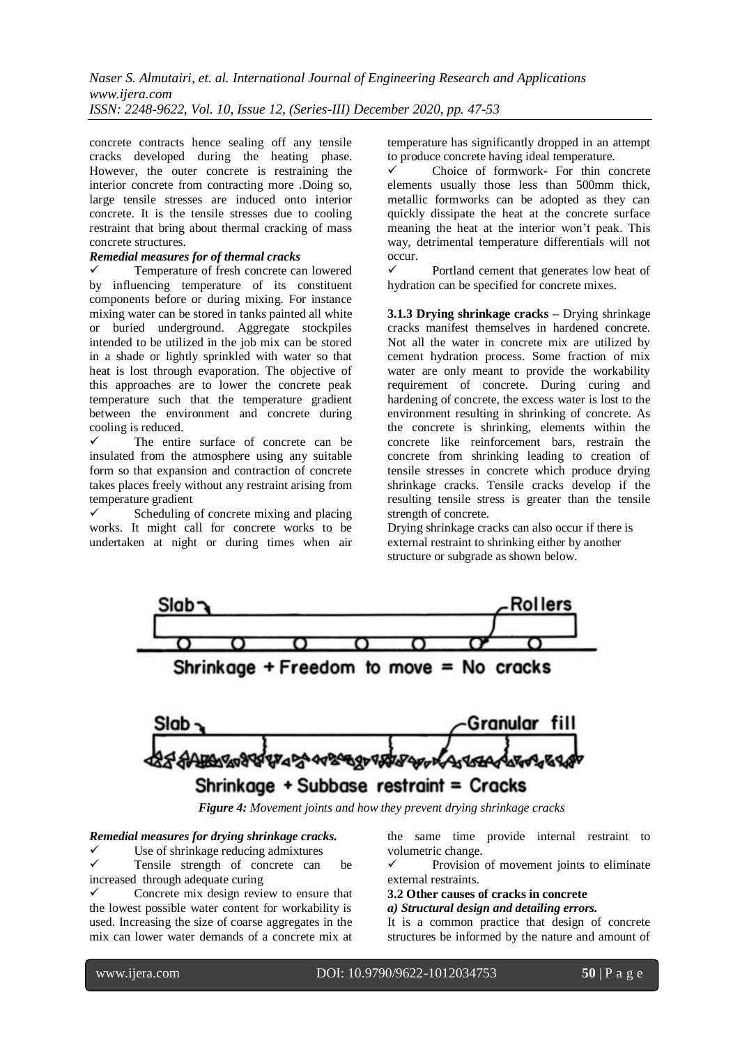concrete contracts hence sealing off any tensile cracks developed during the heating phase. However, the outer concrete is restraining the interior concrete from contracting more .Doing so, large tensile stresses are induced onto interior concrete. It is the tensile stresses due to cooling restraint that bring about thermal cracking of mass concrete structures.

## *Remedial measures for of thermal cracks*

 Temperature of fresh concrete can lowered by influencing temperature of its constituent components before or during mixing. For instance mixing water can be stored in tanks painted all white or buried underground. Aggregate stockpiles intended to be utilized in the job mix can be stored in a shade or lightly sprinkled with water so that heat is lost through evaporation. The objective of this approaches are to lower the concrete peak temperature such that the temperature gradient between the environment and concrete during cooling is reduced.

 The entire surface of concrete can be insulated from the atmosphere using any suitable form so that expansion and contraction of concrete takes places freely without any restraint arising from temperature gradient

 Scheduling of concrete mixing and placing works. It might call for concrete works to be undertaken at night or during times when air temperature has significantly dropped in an attempt to produce concrete having ideal temperature.

 $\checkmark$  Choice of formwork- For thin concrete elements usually those less than 500mm thick, metallic formworks can be adopted as they can quickly dissipate the heat at the concrete surface meaning the heat at the interior won't peak. This way, detrimental temperature differentials will not occur.

 Portland cement that generates low heat of hydration can be specified for concrete mixes.

**3.1.3 Drying shrinkage cracks –** Drying shrinkage cracks manifest themselves in hardened concrete. Not all the water in concrete mix are utilized by cement hydration process. Some fraction of mix water are only meant to provide the workability requirement of concrete. During curing and hardening of concrete, the excess water is lost to the environment resulting in shrinking of concrete. As the concrete is shrinking, elements within the concrete like reinforcement bars, restrain the concrete from shrinking leading to creation of tensile stresses in concrete which produce drying shrinkage cracks. Tensile cracks develop if the resulting tensile stress is greater than the tensile strength of concrete.

Drying shrinkage cracks can also occur if there is external restraint to shrinking either by another structure or subgrade as shown below.





 *Figure 4: Movement joints and how they prevent drying shrinkage cracks*

#### *Remedial measures for drying shrinkage cracks.*

 $\checkmark$  Use of shrinkage reducing admixtures<br> $\checkmark$  Tensile strength of concrete can Tensile strength of concrete can be increased through adequate curing

 Concrete mix design review to ensure that the lowest possible water content for workability is used. Increasing the size of coarse aggregates in the mix can lower water demands of a concrete mix at

the same time provide internal restraint to volumetric change.

 Provision of movement joints to eliminate external restraints.

**3.2 Other causes of cracks in concrete**

*a) Structural design and detailing errors.*

It is a common practice that design of concrete structures be informed by the nature and amount of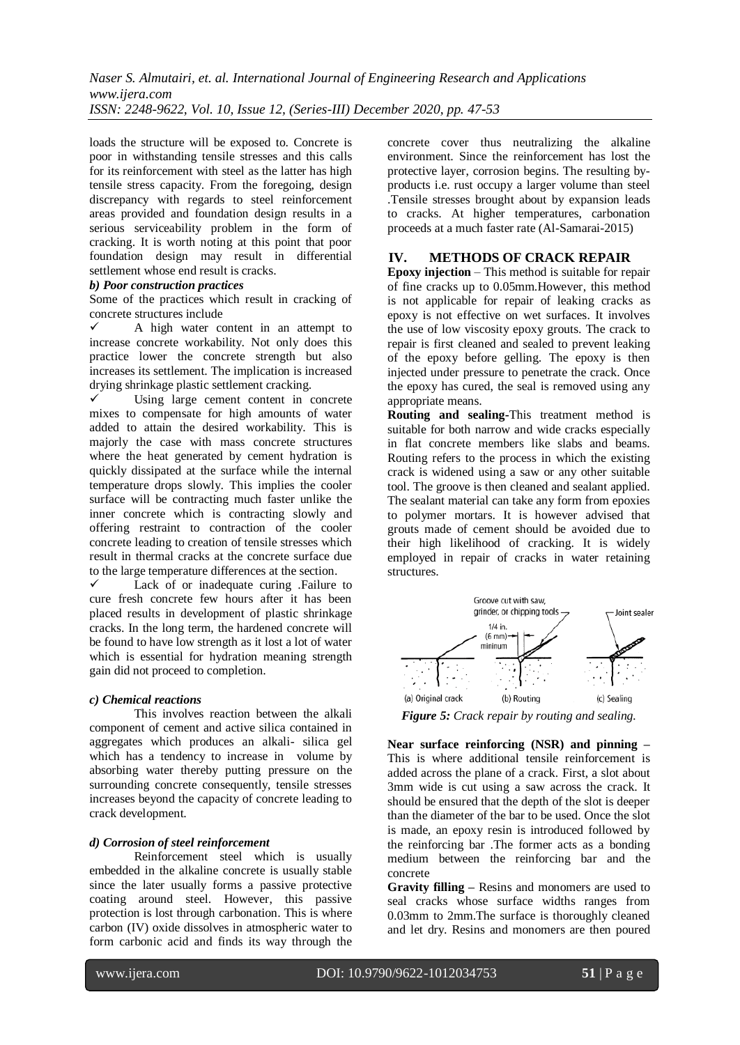loads the structure will be exposed to. Concrete is poor in withstanding tensile stresses and this calls for its reinforcement with steel as the latter has high tensile stress capacity. From the foregoing, design discrepancy with regards to steel reinforcement areas provided and foundation design results in a serious serviceability problem in the form of cracking. It is worth noting at this point that poor foundation design may result in differential settlement whose end result is cracks.

#### *b) Poor construction practices*

Some of the practices which result in cracking of concrete structures include

 $\checkmark$  A high water content in an attempt to increase concrete workability. Not only does this practice lower the concrete strength but also increases its settlement. The implication is increased drying shrinkage plastic settlement cracking.<br>
V Using Jarge cement, content in

 Using large cement content in concrete mixes to compensate for high amounts of water added to attain the desired workability. This is majorly the case with mass concrete structures where the heat generated by cement hydration is quickly dissipated at the surface while the internal temperature drops slowly. This implies the cooler surface will be contracting much faster unlike the inner concrete which is contracting slowly and offering restraint to contraction of the cooler concrete leading to creation of tensile stresses which result in thermal cracks at the concrete surface due to the large temperature differences at the section.

 Lack of or inadequate curing .Failure to cure fresh concrete few hours after it has been placed results in development of plastic shrinkage cracks. In the long term, the hardened concrete will be found to have low strength as it lost a lot of water which is essential for hydration meaning strength gain did not proceed to completion.

#### *c) Chemical reactions*

This involves reaction between the alkali component of cement and active silica contained in aggregates which produces an alkali- silica gel which has a tendency to increase in volume by absorbing water thereby putting pressure on the surrounding concrete consequently, tensile stresses increases beyond the capacity of concrete leading to crack development.

#### *d) Corrosion of steel reinforcement*

Reinforcement steel which is usually embedded in the alkaline concrete is usually stable since the later usually forms a passive protective coating around steel. However, this passive protection is lost through carbonation. This is where carbon (IV) oxide dissolves in atmospheric water to form carbonic acid and finds its way through the concrete cover thus neutralizing the alkaline environment. Since the reinforcement has lost the protective layer, corrosion begins. The resulting byproducts i.e. rust occupy a larger volume than steel .Tensile stresses brought about by expansion leads to cracks. At higher temperatures, carbonation proceeds at a much faster rate (Al-Samarai-2015)

#### **IV. METHODS OF CRACK REPAIR**

**Epoxy injection** – This method is suitable for repair of fine cracks up to 0.05mm.However, this method is not applicable for repair of leaking cracks as epoxy is not effective on wet surfaces. It involves the use of low viscosity epoxy grouts. The crack to repair is first cleaned and sealed to prevent leaking of the epoxy before gelling. The epoxy is then injected under pressure to penetrate the crack. Once the epoxy has cured, the seal is removed using any appropriate means.

**Routing and sealing-**This treatment method is suitable for both narrow and wide cracks especially in flat concrete members like slabs and beams. Routing refers to the process in which the existing crack is widened using a saw or any other suitable tool. The groove is then cleaned and sealant applied. The sealant material can take any form from epoxies to polymer mortars. It is however advised that grouts made of cement should be avoided due to their high likelihood of cracking. It is widely employed in repair of cracks in water retaining structures.



*Figure 5: Crack repair by routing and sealing.*

**Near surface reinforcing (NSR) and pinning –** This is where additional tensile reinforcement is added across the plane of a crack. First, a slot about 3mm wide is cut using a saw across the crack. It should be ensured that the depth of the slot is deeper than the diameter of the bar to be used. Once the slot is made, an epoxy resin is introduced followed by the reinforcing bar .The former acts as a bonding medium between the reinforcing bar and the concrete

**Gravity filling –** Resins and monomers are used to seal cracks whose surface widths ranges from 0.03mm to 2mm.The surface is thoroughly cleaned and let dry. Resins and monomers are then poured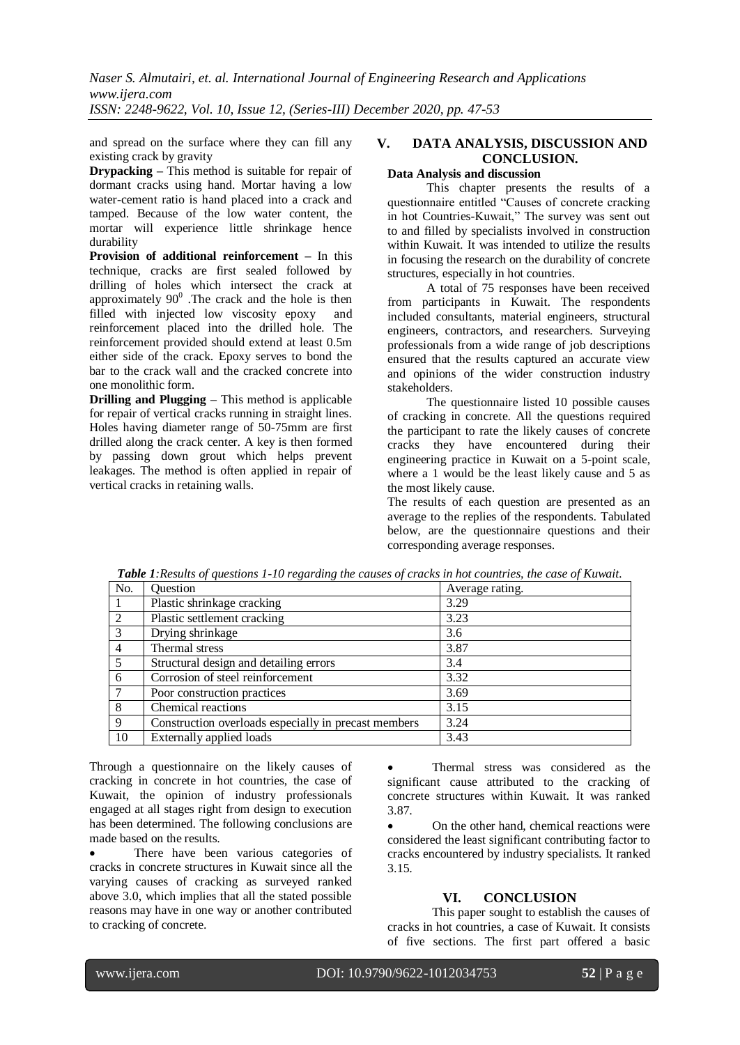*Naser S. Almutairi, et. al. International Journal of Engineering Research and Applications www.ijera.com ISSN: 2248-9622, Vol. 10, Issue 12, (Series-III) December 2020, pp. 47-53*

and spread on the surface where they can fill any existing crack by gravity

**Drypacking –** This method is suitable for repair of dormant cracks using hand. Mortar having a low water-cement ratio is hand placed into a crack and tamped. Because of the low water content, the mortar will experience little shrinkage hence durability

**Provision of additional reinforcement –** In this technique, cracks are first sealed followed by drilling of holes which intersect the crack at approximately  $90^0$  . The crack and the hole is then filled with injected low viscosity epoxy and reinforcement placed into the drilled hole. The reinforcement provided should extend at least 0.5m either side of the crack. Epoxy serves to bond the bar to the crack wall and the cracked concrete into one monolithic form.

**Drilling and Plugging –** This method is applicable for repair of vertical cracks running in straight lines. Holes having diameter range of 50-75mm are first drilled along the crack center. A key is then formed by passing down grout which helps prevent leakages. The method is often applied in repair of vertical cracks in retaining walls.

## **V. DATA ANALYSIS, DISCUSSION AND CONCLUSION.**

## **Data Analysis and discussion**

This chapter presents the results of a questionnaire entitled "Causes of concrete cracking in hot Countries-Kuwait," The survey was sent out to and filled by specialists involved in construction within Kuwait. It was intended to utilize the results in focusing the research on the durability of concrete structures, especially in hot countries.

A total of 75 responses have been received from participants in Kuwait. The respondents included consultants, material engineers, structural engineers, contractors, and researchers. Surveying professionals from a wide range of job descriptions ensured that the results captured an accurate view and opinions of the wider construction industry stakeholders.

The questionnaire listed 10 possible causes of cracking in concrete. All the questions required the participant to rate the likely causes of concrete cracks they have encountered during their engineering practice in Kuwait on a 5-point scale, where a 1 would be the least likely cause and 5 as the most likely cause.

The results of each question are presented as an average to the replies of the respondents. Tabulated below, are the questionnaire questions and their corresponding average responses.

| No.            | Question                                             | Average rating. |
|----------------|------------------------------------------------------|-----------------|
|                | Plastic shrinkage cracking                           | 3.29            |
| 2              | Plastic settlement cracking                          | 3.23            |
| 3              | Drying shrinkage                                     | 3.6             |
| $\overline{4}$ | Thermal stress                                       | 3.87            |
| -5             | Structural design and detailing errors               | 3.4             |
| 6              | Corrosion of steel reinforcement                     | 3.32            |
| 7              | Poor construction practices                          | 3.69            |
| -8             | Chemical reactions                                   | 3.15            |
| 9              | Construction overloads especially in precast members | 3.24            |
| 10             | Externally applied loads                             | 3.43            |

*Table 1:Results of questions 1-10 regarding the causes of cracks in hot countries, the case of Kuwait.*

Through a questionnaire on the likely causes of cracking in concrete in hot countries, the case of Kuwait, the opinion of industry professionals engaged at all stages right from design to execution has been determined. The following conclusions are made based on the results.

 There have been various categories of cracks in concrete structures in Kuwait since all the varying causes of cracking as surveyed ranked above 3.0, which implies that all the stated possible reasons may have in one way or another contributed to cracking of concrete.

 Thermal stress was considered as the significant cause attributed to the cracking of concrete structures within Kuwait. It was ranked 3.87.

 On the other hand, chemical reactions were considered the least significant contributing factor to cracks encountered by industry specialists. It ranked 3.15.

#### **VI. CONCLUSION**

This paper sought to establish the causes of cracks in hot countries, a case of Kuwait. It consists of five sections. The first part offered a basic